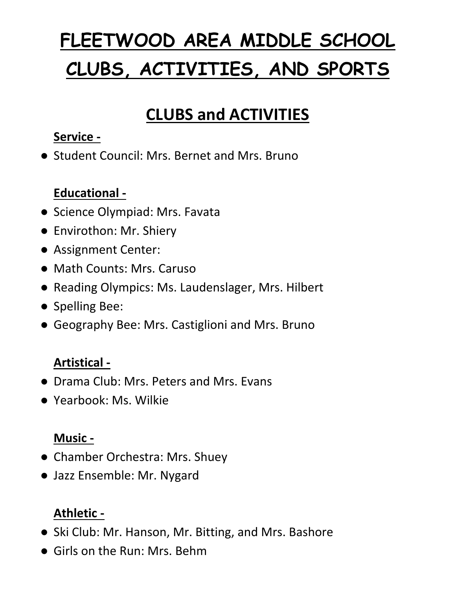# **FLEETWOOD AREA MIDDLE SCHOOL CLUBS, ACTIVITIES, AND SPORTS**

## **CLUBS and ACTIVITIES**

#### **Service -**

● Student Council: Mrs. Bernet and Mrs. Bruno

#### **Educational -**

- Science Olympiad: Mrs. Favata
- Envirothon: Mr. Shiery
- Assignment Center:
- Math Counts: Mrs. Caruso
- Reading Olympics: Ms. Laudenslager, Mrs. Hilbert
- Spelling Bee:
- Geography Bee: Mrs. Castiglioni and Mrs. Bruno

#### **Artistical -**

- Drama Club: Mrs. Peters and Mrs. Evans
- Yearbook: Ms. Wilkie

#### **Music -**

- Chamber Orchestra: Mrs. Shuey
- Jazz Ensemble: Mr. Nygard

#### **Athletic -**

- Ski Club: Mr. Hanson, Mr. Bitting, and Mrs. Bashore
- Girls on the Run: Mrs. Behm